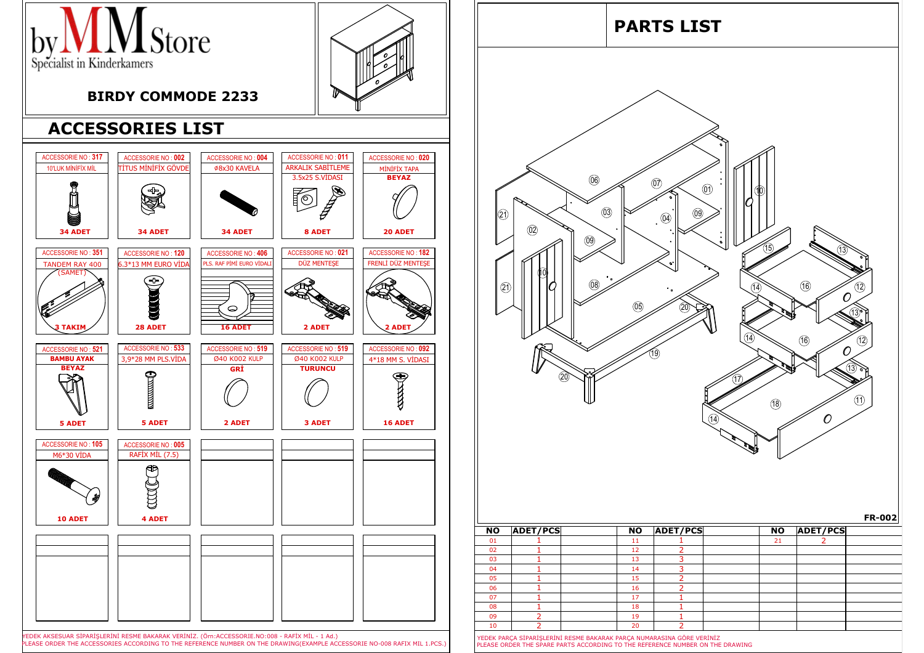

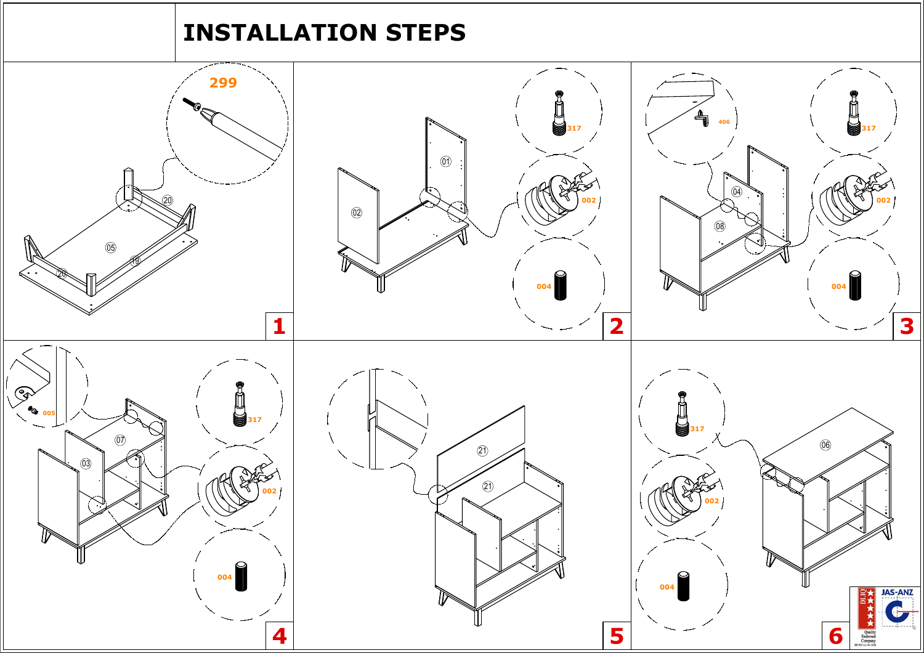